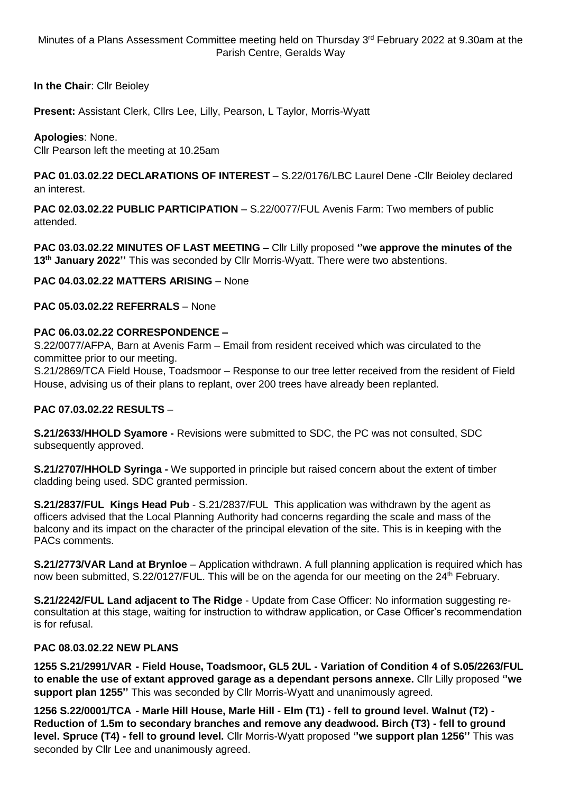Minutes of a Plans Assessment Committee meeting held on Thursday 3<sup>rd</sup> February 2022 at 9.30am at the Parish Centre, Geralds Way

**In the Chair**: Cllr Beioley

**Present:** Assistant Clerk, Cllrs Lee, Lilly, Pearson, L Taylor, Morris-Wyatt

## **Apologies**: None.

Cllr Pearson left the meeting at 10.25am

**PAC 01.03.02.22 DECLARATIONS OF INTEREST** – S.22/0176/LBC Laurel Dene -Cllr Beioley declared an interest.

**PAC 02.03.02.22 PUBLIC PARTICIPATION** – S.22/0077/FUL Avenis Farm: Two members of public attended.

**PAC 03.03.02.22 MINUTES OF LAST MEETING –** Cllr Lilly proposed **''we approve the minutes of the 13th January 2022''** This was seconded by Cllr Morris-Wyatt. There were two abstentions.

**PAC 04.03.02.22 MATTERS ARISING** – None

## **PAC 05.03.02.22 REFERRALS** – None

#### **PAC 06.03.02.22 CORRESPONDENCE –**

S.22/0077/AFPA, Barn at Avenis Farm – Email from resident received which was circulated to the committee prior to our meeting.

S.21/2869/TCA Field House, Toadsmoor – Response to our tree letter received from the resident of Field House, advising us of their plans to replant, over 200 trees have already been replanted.

#### **PAC 07.03.02.22 RESULTS** –

**S.21/2633/HHOLD Syamore -** Revisions were submitted to SDC, the PC was not consulted, SDC subsequently approved.

**S.21/2707/HHOLD Syringa -** We supported in principle but raised concern about the extent of timber cladding being used. SDC granted permission.

**S.21/2837/FUL Kings Head Pub** - S.21/2837/FUL This application was withdrawn by the agent as officers advised that the Local Planning Authority had concerns regarding the scale and mass of the balcony and its impact on the character of the principal elevation of the site. This is in keeping with the PACs comments.

**S.21/2773/VAR Land at Brynloe** – Application withdrawn. A full planning application is required which has now been submitted, S.22/0127/FUL. This will be on the agenda for our meeting on the 24<sup>th</sup> February.

**S.21/2242/FUL Land adjacent to The Ridge** - Update from Case Officer: No information suggesting reconsultation at this stage, waiting for instruction to withdraw application, or Case Officer's recommendation is for refusal.

#### **PAC 08.03.02.22 NEW PLANS**

**1255 S.21/2991/VAR - Field House, Toadsmoor, GL5 2UL - Variation of Condition 4 of S.05/2263/FUL to enable the use of extant approved garage as a dependant persons annexe.** Cllr Lilly proposed **''we support plan 1255''** This was seconded by Cllr Morris-Wyatt and unanimously agreed.

**1256 S.22/0001/TCA - Marle Hill House, Marle Hill - Elm (T1) - fell to ground level. Walnut (T2) - Reduction of 1.5m to secondary branches and remove any deadwood. Birch (T3) - fell to ground level. Spruce (T4) - fell to ground level.** Cllr Morris-Wyatt proposed **''we support plan 1256''** This was seconded by Cllr Lee and unanimously agreed.